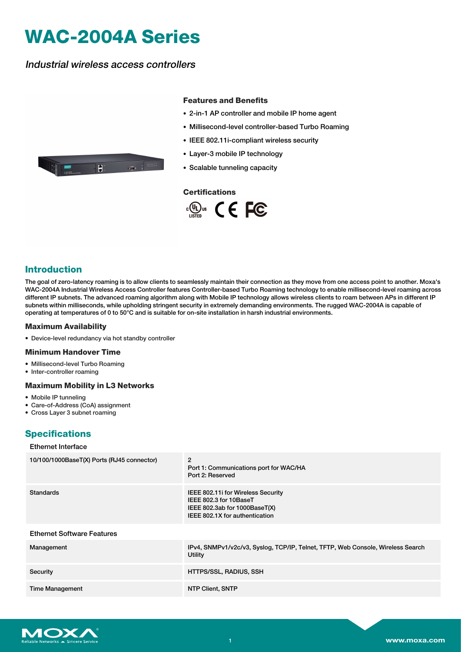# **WAC-2004A Series**

Industrial wireless access controllers

 $\overline{\mathbf{E}}$  .

#### **Features and Benefits**

- 2-in-1 AP controller and mobile IP home agent
- Millisecond-level controller-based Turbo Roaming
- IEEE 802.11i-compliant wireless security
- Layer-3 mobile IP technology
- Scalable tunneling capacity

## **Certifications**





The goal of zero-latency roaming is to allow clients to seamlessly maintain their connection as they move from one access point to another. Moxa's WAC-2004A Industrial Wireless Access Controller features Controller-based Turbo Roaming technology to enable millisecond-level roaming across different IP subnets. The advanced roaming algorithm along with Mobile IP technology allows wireless clients to roam between APs in different IP subnets within milliseconds, while upholding stringent security in extremely demanding environments. The rugged WAC-2004A is capable of operating at temperatures of 0 to 50°C and is suitable for on-site installation in harsh industrial environments.

#### **Maximum Availability**

• Device-level redundancy via hot standby controller

#### **Minimum Handover Time**

- Millisecond-level Turbo Roaming
- Inter-controller roaming

### **Maximum Mobility in L3 Networks**

- Mobile IP tunneling
- Care-of-Address (CoA) assignment
- Cross Layer 3 subnet roaming

## **Specifications**

#### Ethernet Interface

| 10/100/1000BaseT(X) Ports (RJ45 connector) | $\overline{2}$<br>Port 1: Communications port for WAC/HA<br>Port 2: Reserved                                                     |
|--------------------------------------------|----------------------------------------------------------------------------------------------------------------------------------|
| <b>Standards</b>                           | IEEE 802.11 for Wireless Security<br>IEEE 802.3 for 10BaseT<br>IEEE 802.3ab for $1000BaseT(X)$<br>IEEE 802.1X for authentication |
| <b>Ethernet Software Features</b>          |                                                                                                                                  |
| Management                                 | IPv4, SNMPv1/v2c/v3, Syslog, TCP/IP, Telnet, TFTP, Web Console, Wireless Search<br>Utility                                       |
| Security                                   | HTTPS/SSL, RADIUS, SSH                                                                                                           |
| <b>Time Management</b>                     | NTP Client, SNTP                                                                                                                 |

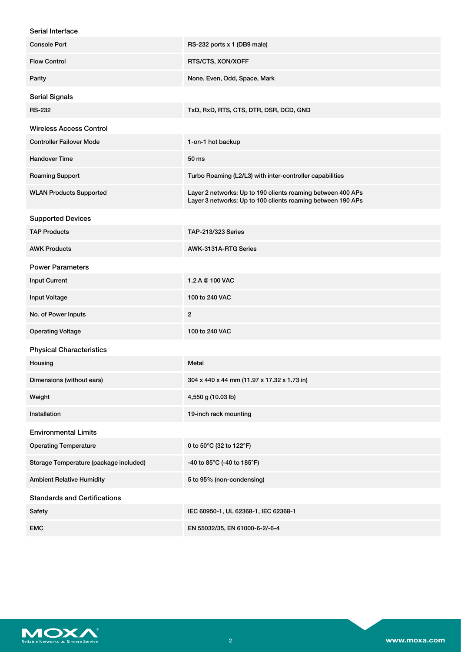| Serial Interface                       |                                                                                                                            |
|----------------------------------------|----------------------------------------------------------------------------------------------------------------------------|
| <b>Console Port</b>                    | RS-232 ports x 1 (DB9 male)                                                                                                |
| <b>Flow Control</b>                    | RTS/CTS, XON/XOFF                                                                                                          |
| Parity                                 | None, Even, Odd, Space, Mark                                                                                               |
| <b>Serial Signals</b>                  |                                                                                                                            |
| <b>RS-232</b>                          | TxD, RxD, RTS, CTS, DTR, DSR, DCD, GND                                                                                     |
| <b>Wireless Access Control</b>         |                                                                                                                            |
| <b>Controller Failover Mode</b>        | 1-on-1 hot backup                                                                                                          |
| <b>Handover Time</b>                   | 50 ms                                                                                                                      |
| <b>Roaming Support</b>                 | Turbo Roaming (L2/L3) with inter-controller capabilities                                                                   |
| <b>WLAN Products Supported</b>         | Layer 2 networks: Up to 190 clients roaming between 400 APs<br>Layer 3 networks: Up to 100 clients roaming between 190 APs |
| <b>Supported Devices</b>               |                                                                                                                            |
| <b>TAP Products</b>                    | TAP-213/323 Series                                                                                                         |
| <b>AWK Products</b>                    | AWK-3131A-RTG Series                                                                                                       |
| <b>Power Parameters</b>                |                                                                                                                            |
| <b>Input Current</b>                   | 1.2 A @ 100 VAC                                                                                                            |
| <b>Input Voltage</b>                   | 100 to 240 VAC                                                                                                             |
| No. of Power Inputs                    | $\overline{2}$                                                                                                             |
| <b>Operating Voltage</b>               | 100 to 240 VAC                                                                                                             |
| <b>Physical Characteristics</b>        |                                                                                                                            |
| Housing                                | <b>Metal</b>                                                                                                               |
| Dimensions (without ears)              | 304 x 440 x 44 mm (11.97 x 17.32 x 1.73 in)                                                                                |
| Weight                                 | 4,550 g (10.03 lb)                                                                                                         |
| Installation                           | 19-inch rack mounting                                                                                                      |
| <b>Environmental Limits</b>            |                                                                                                                            |
| <b>Operating Temperature</b>           | 0 to 50°C (32 to 122°F)                                                                                                    |
| Storage Temperature (package included) | -40 to 85°C (-40 to 185°F)                                                                                                 |
| <b>Ambient Relative Humidity</b>       | 5 to 95% (non-condensing)                                                                                                  |
| <b>Standards and Certifications</b>    |                                                                                                                            |
| Safety                                 | IEC 60950-1, UL 62368-1, IEC 62368-1                                                                                       |
| <b>EMC</b>                             | EN 55032/35, EN 61000-6-2/-6-4                                                                                             |

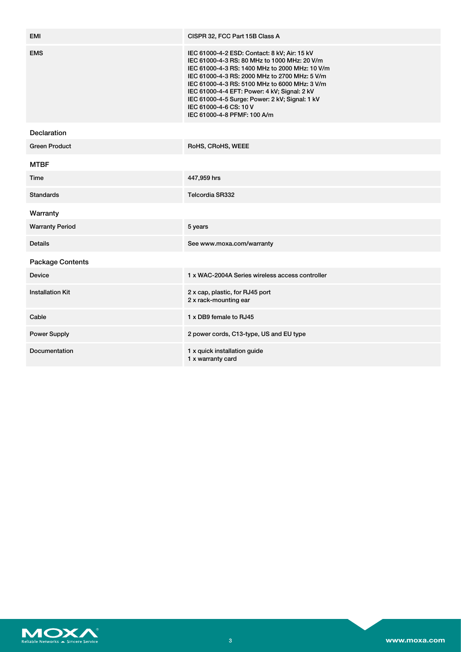| <b>EMI</b>              | CISPR 32, FCC Part 15B Class A                                                                                                                                                                                                                                                                                                                                                                              |
|-------------------------|-------------------------------------------------------------------------------------------------------------------------------------------------------------------------------------------------------------------------------------------------------------------------------------------------------------------------------------------------------------------------------------------------------------|
| <b>EMS</b>              | IEC 61000-4-2 ESD: Contact: 8 kV; Air: 15 kV<br>IEC 61000-4-3 RS: 80 MHz to 1000 MHz: 20 V/m<br>IEC 61000-4-3 RS: 1400 MHz to 2000 MHz: 10 V/m<br>IEC 61000-4-3 RS: 2000 MHz to 2700 MHz: 5 V/m<br>IEC 61000-4-3 RS: 5100 MHz to 6000 MHz: 3 V/m<br>IEC 61000-4-4 EFT: Power: 4 kV; Signal: 2 kV<br>IEC 61000-4-5 Surge: Power: 2 kV; Signal: 1 kV<br>IEC 61000-4-6 CS: 10 V<br>IEC 61000-4-8 PFMF: 100 A/m |
| Declaration             |                                                                                                                                                                                                                                                                                                                                                                                                             |
| <b>Green Product</b>    | RoHS, CRoHS, WEEE                                                                                                                                                                                                                                                                                                                                                                                           |
| <b>MTBF</b>             |                                                                                                                                                                                                                                                                                                                                                                                                             |
| Time                    | 447,959 hrs                                                                                                                                                                                                                                                                                                                                                                                                 |
| <b>Standards</b>        | Telcordia SR332                                                                                                                                                                                                                                                                                                                                                                                             |
| Warranty                |                                                                                                                                                                                                                                                                                                                                                                                                             |
| <b>Warranty Period</b>  | 5 years                                                                                                                                                                                                                                                                                                                                                                                                     |
| <b>Details</b>          | See www.moxa.com/warranty                                                                                                                                                                                                                                                                                                                                                                                   |
| <b>Package Contents</b> |                                                                                                                                                                                                                                                                                                                                                                                                             |
| <b>Device</b>           | 1 x WAC-2004A Series wireless access controller                                                                                                                                                                                                                                                                                                                                                             |
| <b>Installation Kit</b> | 2 x cap, plastic, for RJ45 port<br>2 x rack-mounting ear                                                                                                                                                                                                                                                                                                                                                    |
| Cable                   | 1 x DB9 female to RJ45                                                                                                                                                                                                                                                                                                                                                                                      |
| <b>Power Supply</b>     | 2 power cords, C13-type, US and EU type                                                                                                                                                                                                                                                                                                                                                                     |
| Documentation           | 1 x quick installation guide<br>1 x warranty card                                                                                                                                                                                                                                                                                                                                                           |